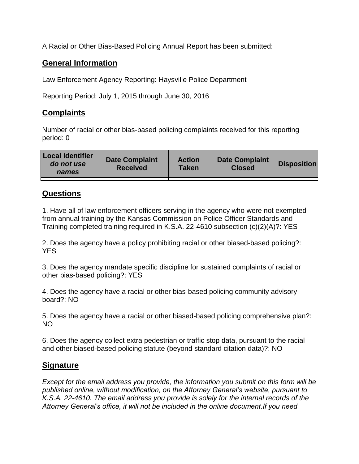A Racial or Other Bias-Based Policing Annual Report has been submitted:

## **General Information**

Law Enforcement Agency Reporting: Haysville Police Department

Reporting Period: July 1, 2015 through June 30, 2016

## **Complaints**

Number of racial or other bias-based policing complaints received for this reporting period: 0

| <b>Local Identifier</b><br>do not use<br>names | <b>Date Complaint</b><br><b>Received</b> | <b>Action</b><br><b>Taken</b> | <b>Date Complaint</b><br><b>Closed</b> | Disposition |
|------------------------------------------------|------------------------------------------|-------------------------------|----------------------------------------|-------------|
|                                                |                                          |                               |                                        |             |

## **Questions**

1. Have all of law enforcement officers serving in the agency who were not exempted from annual training by the Kansas Commission on Police Officer Standards and Training completed training required in K.S.A. 22-4610 subsection (c)(2)(A)?: YES

2. Does the agency have a policy prohibiting racial or other biased-based policing?: YES

3. Does the agency mandate specific discipline for sustained complaints of racial or other bias-based policing?: YES

4. Does the agency have a racial or other bias-based policing community advisory board?: NO

5. Does the agency have a racial or other biased-based policing comprehensive plan?: NO

6. Does the agency collect extra pedestrian or traffic stop data, pursuant to the racial and other biased-based policing statute (beyond standard citation data)?: NO

## **Signature**

*Except for the email address you provide, the information you submit on this form will be published online, without modification, on the Attorney General's website, pursuant to K.S.A. 22-4610. The email address you provide is solely for the internal records of the Attorney General's office, it will not be included in the online document.If you need*